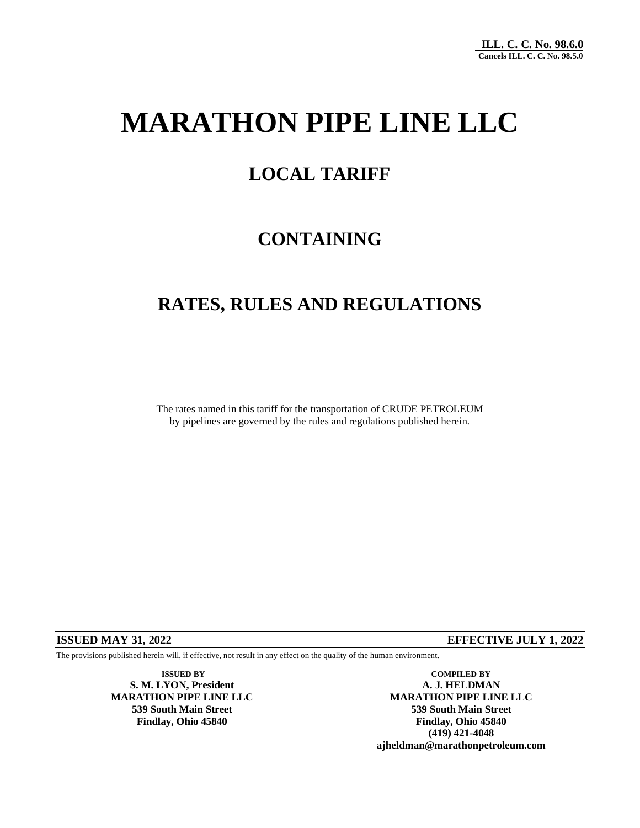# **MARATHON PIPE LINE LLC**

### **LOCAL TARIFF**

## **CONTAINING**

### **RATES, RULES AND REGULATIONS**

The rates named in this tariff for the transportation of CRUDE PETROLEUM by pipelines are governed by the rules and regulations published herein.

#### **ISSUED MAY 31, 2022 EFFECTIVE JULY 1, 2022**

The provisions published herein will, if effective, not result in any effect on the quality of the human environment.

**S. M. LYON, President A. J. HELDMAN**

**ISSUED BY COMPILED BY MARATHON PIPE LINE LLC MARATHON PIPE LINE LLC 539 South Main Street 539 South Main Street Findlay, Ohio 45840 Findlay, Ohio 45840 (419) 421-4048 ajheldman@marathonpetroleum.com**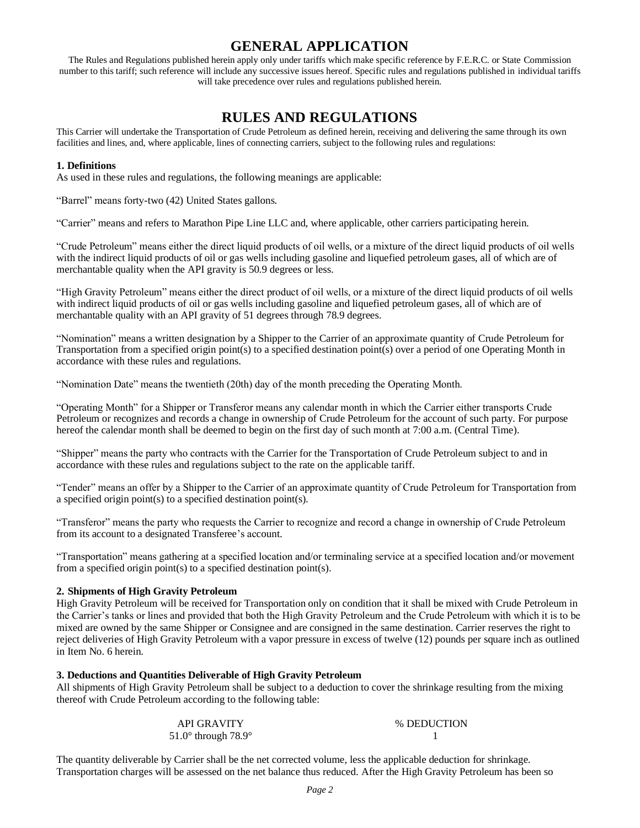### **GENERAL APPLICATION**

The Rules and Regulations published herein apply only under tariffs which make specific reference by F.E.R.C. or State Commission number to this tariff; such reference will include any successive issues hereof. Specific rules and regulations published in individual tariffs will take precedence over rules and regulations published herein.

### **RULES AND REGULATIONS**

This Carrier will undertake the Transportation of Crude Petroleum as defined herein, receiving and delivering the same through its own facilities and lines, and, where applicable, lines of connecting carriers, subject to the following rules and regulations:

#### **1. Definitions**

As used in these rules and regulations, the following meanings are applicable:

"Barrel" means forty-two (42) United States gallons.

"Carrier" means and refers to Marathon Pipe Line LLC and, where applicable, other carriers participating herein.

"Crude Petroleum" means either the direct liquid products of oil wells, or a mixture of the direct liquid products of oil wells with the indirect liquid products of oil or gas wells including gasoline and liquefied petroleum gases, all of which are of merchantable quality when the API gravity is 50.9 degrees or less.

"High Gravity Petroleum" means either the direct product of oil wells, or a mixture of the direct liquid products of oil wells with indirect liquid products of oil or gas wells including gasoline and liquefied petroleum gases, all of which are of merchantable quality with an API gravity of 51 degrees through 78.9 degrees.

"Nomination" means a written designation by a Shipper to the Carrier of an approximate quantity of Crude Petroleum for Transportation from a specified origin point(s) to a specified destination point(s) over a period of one Operating Month in accordance with these rules and regulations.

"Nomination Date" means the twentieth (20th) day of the month preceding the Operating Month.

"Operating Month" for a Shipper or Transferor means any calendar month in which the Carrier either transports Crude Petroleum or recognizes and records a change in ownership of Crude Petroleum for the account of such party. For purpose hereof the calendar month shall be deemed to begin on the first day of such month at 7:00 a.m. (Central Time).

"Shipper" means the party who contracts with the Carrier for the Transportation of Crude Petroleum subject to and in accordance with these rules and regulations subject to the rate on the applicable tariff.

"Tender" means an offer by a Shipper to the Carrier of an approximate quantity of Crude Petroleum for Transportation from a specified origin point(s) to a specified destination point(s).

"Transferor" means the party who requests the Carrier to recognize and record a change in ownership of Crude Petroleum from its account to a designated Transferee's account.

"Transportation" means gathering at a specified location and/or terminaling service at a specified location and/or movement from a specified origin point(s) to a specified destination point(s).

#### **2. Shipments of High Gravity Petroleum**

High Gravity Petroleum will be received for Transportation only on condition that it shall be mixed with Crude Petroleum in the Carrier's tanks or lines and provided that both the High Gravity Petroleum and the Crude Petroleum with which it is to be mixed are owned by the same Shipper or Consignee and are consigned in the same destination. Carrier reserves the right to reject deliveries of High Gravity Petroleum with a vapor pressure in excess of twelve (12) pounds per square inch as outlined in Item No. 6 herein.

#### **3. Deductions and Quantities Deliverable of High Gravity Petroleum**

All shipments of High Gravity Petroleum shall be subject to a deduction to cover the shrinkage resulting from the mixing thereof with Crude Petroleum according to the following table:

| <b>API GRAVITY</b>                    | % DEDUCTION |
|---------------------------------------|-------------|
| 51.0 $\degree$ through 78.9 $\degree$ |             |

The quantity deliverable by Carrier shall be the net corrected volume, less the applicable deduction for shrinkage. Transportation charges will be assessed on the net balance thus reduced. After the High Gravity Petroleum has been so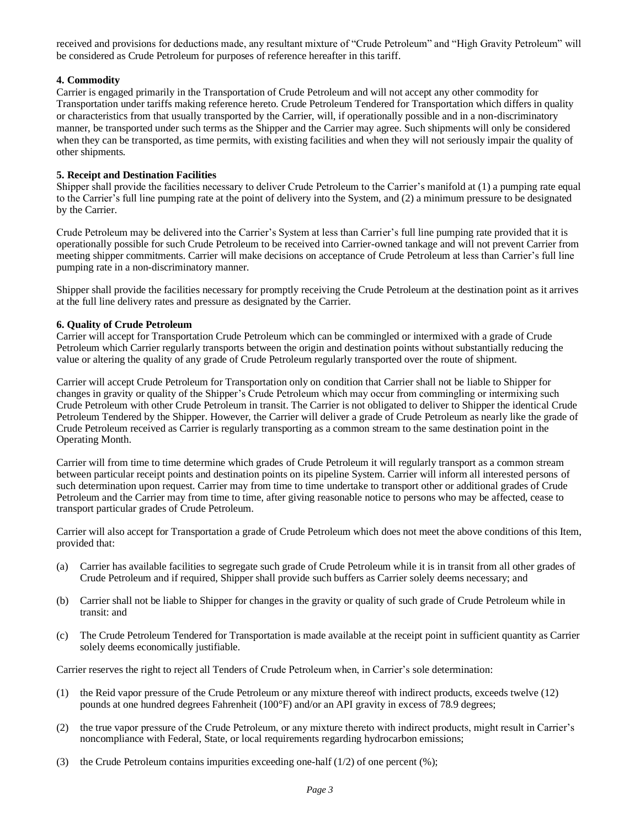received and provisions for deductions made, any resultant mixture of "Crude Petroleum" and "High Gravity Petroleum" will be considered as Crude Petroleum for purposes of reference hereafter in this tariff.

#### **4. Commodity**

Carrier is engaged primarily in the Transportation of Crude Petroleum and will not accept any other commodity for Transportation under tariffs making reference hereto. Crude Petroleum Tendered for Transportation which differs in quality or characteristics from that usually transported by the Carrier, will, if operationally possible and in a non-discriminatory manner, be transported under such terms as the Shipper and the Carrier may agree. Such shipments will only be considered when they can be transported, as time permits, with existing facilities and when they will not seriously impair the quality of other shipments.

#### **5. Receipt and Destination Facilities**

Shipper shall provide the facilities necessary to deliver Crude Petroleum to the Carrier's manifold at (1) a pumping rate equal to the Carrier's full line pumping rate at the point of delivery into the System, and (2) a minimum pressure to be designated by the Carrier.

Crude Petroleum may be delivered into the Carrier's System at less than Carrier's full line pumping rate provided that it is operationally possible for such Crude Petroleum to be received into Carrier-owned tankage and will not prevent Carrier from meeting shipper commitments. Carrier will make decisions on acceptance of Crude Petroleum at less than Carrier's full line pumping rate in a non-discriminatory manner.

Shipper shall provide the facilities necessary for promptly receiving the Crude Petroleum at the destination point as it arrives at the full line delivery rates and pressure as designated by the Carrier.

#### **6. Quality of Crude Petroleum**

Carrier will accept for Transportation Crude Petroleum which can be commingled or intermixed with a grade of Crude Petroleum which Carrier regularly transports between the origin and destination points without substantially reducing the value or altering the quality of any grade of Crude Petroleum regularly transported over the route of shipment.

Carrier will accept Crude Petroleum for Transportation only on condition that Carrier shall not be liable to Shipper for changes in gravity or quality of the Shipper's Crude Petroleum which may occur from commingling or intermixing such Crude Petroleum with other Crude Petroleum in transit. The Carrier is not obligated to deliver to Shipper the identical Crude Petroleum Tendered by the Shipper. However, the Carrier will deliver a grade of Crude Petroleum as nearly like the grade of Crude Petroleum received as Carrier is regularly transporting as a common stream to the same destination point in the Operating Month.

Carrier will from time to time determine which grades of Crude Petroleum it will regularly transport as a common stream between particular receipt points and destination points on its pipeline System. Carrier will inform all interested persons of such determination upon request. Carrier may from time to time undertake to transport other or additional grades of Crude Petroleum and the Carrier may from time to time, after giving reasonable notice to persons who may be affected, cease to transport particular grades of Crude Petroleum.

Carrier will also accept for Transportation a grade of Crude Petroleum which does not meet the above conditions of this Item, provided that:

- (a) Carrier has available facilities to segregate such grade of Crude Petroleum while it is in transit from all other grades of Crude Petroleum and if required, Shipper shall provide such buffers as Carrier solely deems necessary; and
- (b) Carrier shall not be liable to Shipper for changes in the gravity or quality of such grade of Crude Petroleum while in transit: and
- (c) The Crude Petroleum Tendered for Transportation is made available at the receipt point in sufficient quantity as Carrier solely deems economically justifiable.

Carrier reserves the right to reject all Tenders of Crude Petroleum when, in Carrier's sole determination:

- (1) the Reid vapor pressure of the Crude Petroleum or any mixture thereof with indirect products, exceeds twelve (12) pounds at one hundred degrees Fahrenheit (100°F) and/or an API gravity in excess of 78.9 degrees;
- (2) the true vapor pressure of the Crude Petroleum, or any mixture thereto with indirect products, might result in Carrier's noncompliance with Federal, State, or local requirements regarding hydrocarbon emissions;
- (3) the Crude Petroleum contains impurities exceeding one-half  $(1/2)$  of one percent  $(\%)$ ;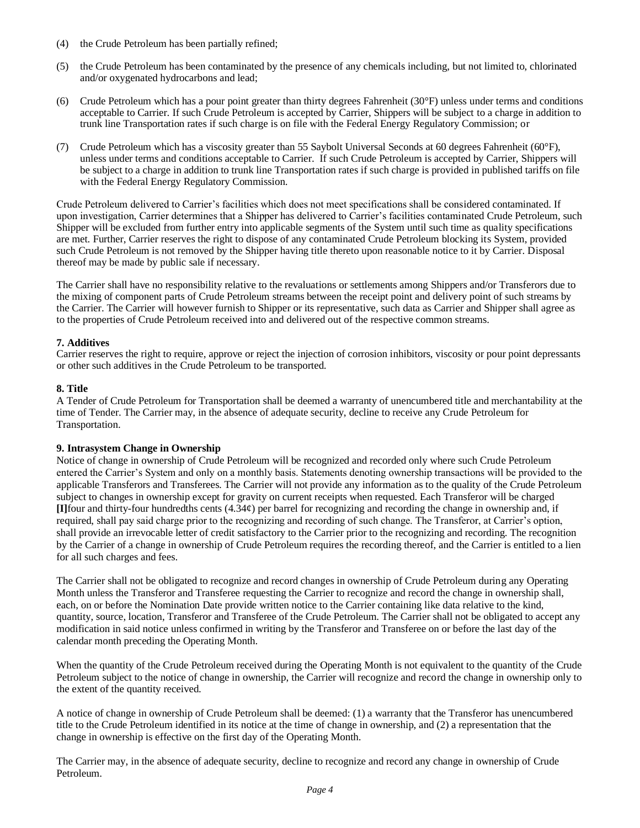- (4) the Crude Petroleum has been partially refined;
- (5) the Crude Petroleum has been contaminated by the presence of any chemicals including, but not limited to, chlorinated and/or oxygenated hydrocarbons and lead;
- (6) Crude Petroleum which has a pour point greater than thirty degrees Fahrenheit (30°F) unless under terms and conditions acceptable to Carrier. If such Crude Petroleum is accepted by Carrier, Shippers will be subject to a charge in addition to trunk line Transportation rates if such charge is on file with the Federal Energy Regulatory Commission; or
- (7) Crude Petroleum which has a viscosity greater than 55 Saybolt Universal Seconds at 60 degrees Fahrenheit (60°F), unless under terms and conditions acceptable to Carrier. If such Crude Petroleum is accepted by Carrier, Shippers will be subject to a charge in addition to trunk line Transportation rates if such charge is provided in published tariffs on file with the Federal Energy Regulatory Commission.

Crude Petroleum delivered to Carrier's facilities which does not meet specifications shall be considered contaminated. If upon investigation, Carrier determines that a Shipper has delivered to Carrier's facilities contaminated Crude Petroleum, such Shipper will be excluded from further entry into applicable segments of the System until such time as quality specifications are met. Further, Carrier reserves the right to dispose of any contaminated Crude Petroleum blocking its System, provided such Crude Petroleum is not removed by the Shipper having title thereto upon reasonable notice to it by Carrier. Disposal thereof may be made by public sale if necessary.

The Carrier shall have no responsibility relative to the revaluations or settlements among Shippers and/or Transferors due to the mixing of component parts of Crude Petroleum streams between the receipt point and delivery point of such streams by the Carrier. The Carrier will however furnish to Shipper or its representative, such data as Carrier and Shipper shall agree as to the properties of Crude Petroleum received into and delivered out of the respective common streams.

#### **7. Additives**

Carrier reserves the right to require, approve or reject the injection of corrosion inhibitors, viscosity or pour point depressants or other such additives in the Crude Petroleum to be transported.

#### **8. Title**

A Tender of Crude Petroleum for Transportation shall be deemed a warranty of unencumbered title and merchantability at the time of Tender. The Carrier may, in the absence of adequate security, decline to receive any Crude Petroleum for Transportation.

#### **9. Intrasystem Change in Ownership**

Notice of change in ownership of Crude Petroleum will be recognized and recorded only where such Crude Petroleum entered the Carrier's System and only on a monthly basis. Statements denoting ownership transactions will be provided to the applicable Transferors and Transferees. The Carrier will not provide any information as to the quality of the Crude Petroleum subject to changes in ownership except for gravity on current receipts when requested. Each Transferor will be charged **[I]**four and thirty-four hundredths cents (4.34¢) per barrel for recognizing and recording the change in ownership and, if required, shall pay said charge prior to the recognizing and recording of such change. The Transferor, at Carrier's option, shall provide an irrevocable letter of credit satisfactory to the Carrier prior to the recognizing and recording. The recognition by the Carrier of a change in ownership of Crude Petroleum requires the recording thereof, and the Carrier is entitled to a lien for all such charges and fees.

The Carrier shall not be obligated to recognize and record changes in ownership of Crude Petroleum during any Operating Month unless the Transferor and Transferee requesting the Carrier to recognize and record the change in ownership shall, each, on or before the Nomination Date provide written notice to the Carrier containing like data relative to the kind, quantity, source, location, Transferor and Transferee of the Crude Petroleum. The Carrier shall not be obligated to accept any modification in said notice unless confirmed in writing by the Transferor and Transferee on or before the last day of the calendar month preceding the Operating Month.

When the quantity of the Crude Petroleum received during the Operating Month is not equivalent to the quantity of the Crude Petroleum subject to the notice of change in ownership, the Carrier will recognize and record the change in ownership only to the extent of the quantity received.

A notice of change in ownership of Crude Petroleum shall be deemed: (1) a warranty that the Transferor has unencumbered title to the Crude Petroleum identified in its notice at the time of change in ownership, and (2) a representation that the change in ownership is effective on the first day of the Operating Month.

The Carrier may, in the absence of adequate security, decline to recognize and record any change in ownership of Crude Petroleum.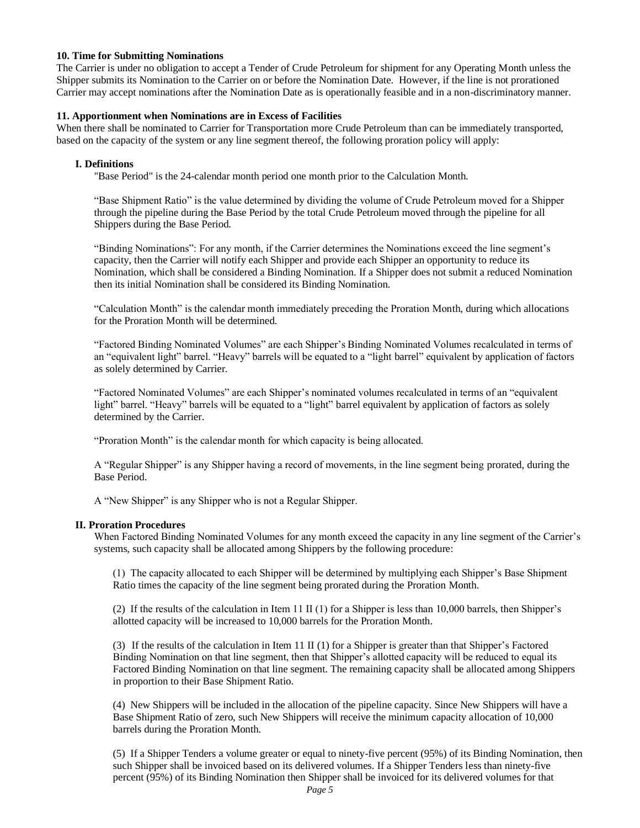#### **10. Time for Submitting Nominations**

The Carrier is under no obligation to accept a Tender of Crude Petroleum for shipment for any Operating Month unless the Shipper submits its Nomination to the Carrier on or before the Nomination Date. However, if the line is not prorationed Carrier may accept nominations after the Nomination Date as is operationally feasible and in a non-discriminatory manner.

#### **11. Apportionment when Nominations are in Excess of Facilities**

When there shall be nominated to Carrier for Transportation more Crude Petroleum than can be immediately transported, based on the capacity of the system or any line segment thereof, the following proration policy will apply:

#### **I. Definitions**

"Base Period" is the 24-calendar month period one month prior to the Calculation Month.

"Base Shipment Ratio" is the value determined by dividing the volume of Crude Petroleum moved for a Shipper through the pipeline during the Base Period by the total Crude Petroleum moved through the pipeline for all Shippers during the Base Period.

"Binding Nominations": For any month, if the Carrier determines the Nominations exceed the line segment's capacity, then the Carrier will notify each Shipper and provide each Shipper an opportunity to reduce its Nomination, which shall be considered a Binding Nomination. If a Shipper does not submit a reduced Nomination then its initial Nomination shall be considered its Binding Nomination.

"Calculation Month" is the calendar month immediately preceding the Proration Month, during which allocations for the Proration Month will be determined.

"Factored Binding Nominated Volumes" are each Shipper's Binding Nominated Volumes recalculated in terms of an "equivalent light" barrel. "Heavy" barrels will be equated to a "light barrel" equivalent by application of factors as solely determined by Carrier.

"Factored Nominated Volumes" are each Shipper's nominated volumes recalculated in terms of an "equivalent light" barrel. "Heavy" barrels will be equated to a "light" barrel equivalent by application of factors as solely determined by the Carrier.

"Proration Month" is the calendar month for which capacity is being allocated.

A "Regular Shipper" is any Shipper having a record of movements, in the line segment being prorated, during the Base Period.

A "New Shipper" is any Shipper who is not a Regular Shipper.

#### **II. Proration Procedures**

When Factored Binding Nominated Volumes for any month exceed the capacity in any line segment of the Carrier's systems, such capacity shall be allocated among Shippers by the following procedure:

(1) The capacity allocated to each Shipper will be determined by multiplying each Shipper's Base Shipment Ratio times the capacity of the line segment being prorated during the Proration Month.

(2) If the results of the calculation in Item 11 II (1) for a Shipper is less than 10,000 barrels, then Shipper's allotted capacity will be increased to 10,000 barrels for the Proration Month.

(3) If the results of the calculation in Item 11 II (1) for a Shipper is greater than that Shipper's Factored Binding Nomination on that line segment, then that Shipper's allotted capacity will be reduced to equal its Factored Binding Nomination on that line segment. The remaining capacity shall be allocated among Shippers in proportion to their Base Shipment Ratio.

(4) New Shippers will be included in the allocation of the pipeline capacity. Since New Shippers will have a Base Shipment Ratio of zero, such New Shippers will receive the minimum capacity allocation of 10,000 barrels during the Proration Month.

(5) If a Shipper Tenders a volume greater or equal to ninety-five percent (95%) of its Binding Nomination, then such Shipper shall be invoiced based on its delivered volumes. If a Shipper Tenders less than ninety-five percent (95%) of its Binding Nomination then Shipper shall be invoiced for its delivered volumes for that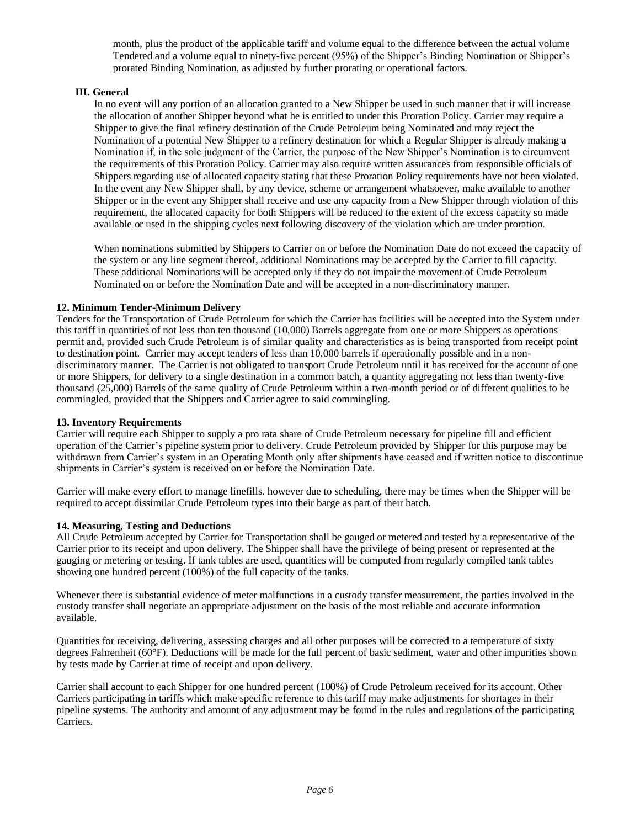month, plus the product of the applicable tariff and volume equal to the difference between the actual volume Tendered and a volume equal to ninety-five percent (95%) of the Shipper's Binding Nomination or Shipper's prorated Binding Nomination, as adjusted by further prorating or operational factors.

#### **III. General**

In no event will any portion of an allocation granted to a New Shipper be used in such manner that it will increase the allocation of another Shipper beyond what he is entitled to under this Proration Policy. Carrier may require a Shipper to give the final refinery destination of the Crude Petroleum being Nominated and may reject the Nomination of a potential New Shipper to a refinery destination for which a Regular Shipper is already making a Nomination if, in the sole judgment of the Carrier, the purpose of the New Shipper's Nomination is to circumvent the requirements of this Proration Policy. Carrier may also require written assurances from responsible officials of Shippers regarding use of allocated capacity stating that these Proration Policy requirements have not been violated. In the event any New Shipper shall, by any device, scheme or arrangement whatsoever, make available to another Shipper or in the event any Shipper shall receive and use any capacity from a New Shipper through violation of this requirement, the allocated capacity for both Shippers will be reduced to the extent of the excess capacity so made available or used in the shipping cycles next following discovery of the violation which are under proration.

When nominations submitted by Shippers to Carrier on or before the Nomination Date do not exceed the capacity of the system or any line segment thereof, additional Nominations may be accepted by the Carrier to fill capacity. These additional Nominations will be accepted only if they do not impair the movement of Crude Petroleum Nominated on or before the Nomination Date and will be accepted in a non-discriminatory manner.

#### **12. Minimum Tender-Minimum Delivery**

Tenders for the Transportation of Crude Petroleum for which the Carrier has facilities will be accepted into the System under this tariff in quantities of not less than ten thousand (10,000) Barrels aggregate from one or more Shippers as operations permit and, provided such Crude Petroleum is of similar quality and characteristics as is being transported from receipt point to destination point. Carrier may accept tenders of less than 10,000 barrels if operationally possible and in a nondiscriminatory manner. The Carrier is not obligated to transport Crude Petroleum until it has received for the account of one or more Shippers, for delivery to a single destination in a common batch, a quantity aggregating not less than twenty-five thousand (25,000) Barrels of the same quality of Crude Petroleum within a two-month period or of different qualities to be commingled, provided that the Shippers and Carrier agree to said commingling.

#### **13. Inventory Requirements**

Carrier will require each Shipper to supply a pro rata share of Crude Petroleum necessary for pipeline fill and efficient operation of the Carrier's pipeline system prior to delivery. Crude Petroleum provided by Shipper for this purpose may be withdrawn from Carrier's system in an Operating Month only after shipments have ceased and if written notice to discontinue shipments in Carrier's system is received on or before the Nomination Date.

Carrier will make every effort to manage linefills. however due to scheduling, there may be times when the Shipper will be required to accept dissimilar Crude Petroleum types into their barge as part of their batch.

#### **14. Measuring, Testing and Deductions**

All Crude Petroleum accepted by Carrier for Transportation shall be gauged or metered and tested by a representative of the Carrier prior to its receipt and upon delivery. The Shipper shall have the privilege of being present or represented at the gauging or metering or testing. If tank tables are used, quantities will be computed from regularly compiled tank tables showing one hundred percent (100%) of the full capacity of the tanks.

Whenever there is substantial evidence of meter malfunctions in a custody transfer measurement, the parties involved in the custody transfer shall negotiate an appropriate adjustment on the basis of the most reliable and accurate information available.

Quantities for receiving, delivering, assessing charges and all other purposes will be corrected to a temperature of sixty degrees Fahrenheit (60°F). Deductions will be made for the full percent of basic sediment, water and other impurities shown by tests made by Carrier at time of receipt and upon delivery.

Carrier shall account to each Shipper for one hundred percent (100%) of Crude Petroleum received for its account. Other Carriers participating in tariffs which make specific reference to this tariff may make adjustments for shortages in their pipeline systems. The authority and amount of any adjustment may be found in the rules and regulations of the participating Carriers.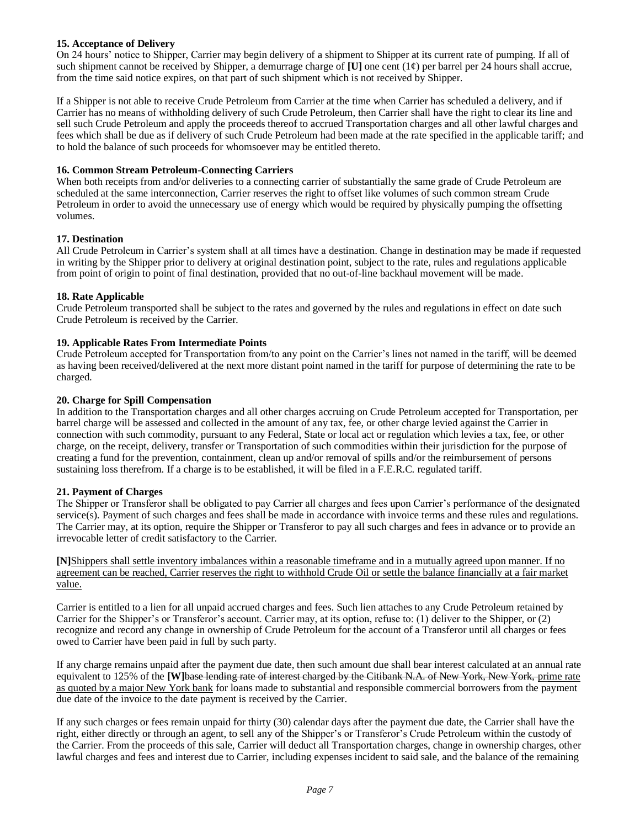#### **15. Acceptance of Delivery**

On 24 hours' notice to Shipper, Carrier may begin delivery of a shipment to Shipper at its current rate of pumping. If all of such shipment cannot be received by Shipper, a demurrage charge of  $[U]$  one cent  $(1¢)$  per barrel per 24 hours shall accrue, from the time said notice expires, on that part of such shipment which is not received by Shipper.

If a Shipper is not able to receive Crude Petroleum from Carrier at the time when Carrier has scheduled a delivery, and if Carrier has no means of withholding delivery of such Crude Petroleum, then Carrier shall have the right to clear its line and sell such Crude Petroleum and apply the proceeds thereof to accrued Transportation charges and all other lawful charges and fees which shall be due as if delivery of such Crude Petroleum had been made at the rate specified in the applicable tariff; and to hold the balance of such proceeds for whomsoever may be entitled thereto.

#### **16. Common Stream Petroleum-Connecting Carriers**

When both receipts from and/or deliveries to a connecting carrier of substantially the same grade of Crude Petroleum are scheduled at the same interconnection, Carrier reserves the right to offset like volumes of such common stream Crude Petroleum in order to avoid the unnecessary use of energy which would be required by physically pumping the offsetting volumes.

#### **17. Destination**

All Crude Petroleum in Carrier's system shall at all times have a destination. Change in destination may be made if requested in writing by the Shipper prior to delivery at original destination point, subject to the rate, rules and regulations applicable from point of origin to point of final destination, provided that no out-of-line backhaul movement will be made.

#### **18. Rate Applicable**

Crude Petroleum transported shall be subject to the rates and governed by the rules and regulations in effect on date such Crude Petroleum is received by the Carrier.

#### **19. Applicable Rates From Intermediate Points**

Crude Petroleum accepted for Transportation from/to any point on the Carrier's lines not named in the tariff, will be deemed as having been received/delivered at the next more distant point named in the tariff for purpose of determining the rate to be charged.

#### **20. Charge for Spill Compensation**

In addition to the Transportation charges and all other charges accruing on Crude Petroleum accepted for Transportation, per barrel charge will be assessed and collected in the amount of any tax, fee, or other charge levied against the Carrier in connection with such commodity, pursuant to any Federal, State or local act or regulation which levies a tax, fee, or other charge, on the receipt, delivery, transfer or Transportation of such commodities within their jurisdiction for the purpose of creating a fund for the prevention, containment, clean up and/or removal of spills and/or the reimbursement of persons sustaining loss therefrom. If a charge is to be established, it will be filed in a F.E.R.C. regulated tariff.

#### **21. Payment of Charges**

The Shipper or Transferor shall be obligated to pay Carrier all charges and fees upon Carrier's performance of the designated service(s). Payment of such charges and fees shall be made in accordance with invoice terms and these rules and regulations. The Carrier may, at its option, require the Shipper or Transferor to pay all such charges and fees in advance or to provide an irrevocable letter of credit satisfactory to the Carrier.

**[N]**Shippers shall settle inventory imbalances within a reasonable timeframe and in a mutually agreed upon manner. If no agreement can be reached, Carrier reserves the right to withhold Crude Oil or settle the balance financially at a fair market value.

Carrier is entitled to a lien for all unpaid accrued charges and fees. Such lien attaches to any Crude Petroleum retained by Carrier for the Shipper's or Transferor's account. Carrier may, at its option, refuse to: (1) deliver to the Shipper, or (2) recognize and record any change in ownership of Crude Petroleum for the account of a Transferor until all charges or fees owed to Carrier have been paid in full by such party.

If any charge remains unpaid after the payment due date, then such amount due shall bear interest calculated at an annual rate equivalent to 125% of the **[W]**base lending rate of interest charged by the Citibank N.A. of New York, New York, prime rate as quoted by a major New York bank for loans made to substantial and responsible commercial borrowers from the payment due date of the invoice to the date payment is received by the Carrier.

If any such charges or fees remain unpaid for thirty (30) calendar days after the payment due date, the Carrier shall have the right, either directly or through an agent, to sell any of the Shipper's or Transferor's Crude Petroleum within the custody of the Carrier. From the proceeds of this sale, Carrier will deduct all Transportation charges, change in ownership charges, other lawful charges and fees and interest due to Carrier, including expenses incident to said sale, and the balance of the remaining